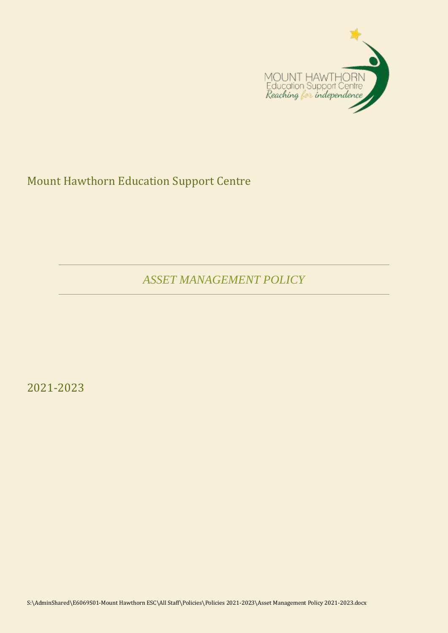

Mount Hawthorn Education Support Centre

*ASSET MANAGEMENT POLICY*

2021-2023